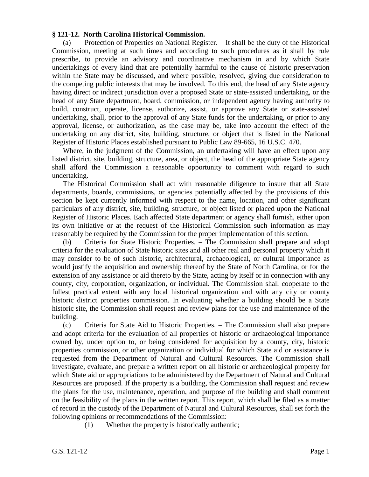## **§ 121-12. North Carolina Historical Commission.**

(a) Protection of Properties on National Register. – It shall be the duty of the Historical Commission, meeting at such times and according to such procedures as it shall by rule prescribe, to provide an advisory and coordinative mechanism in and by which State undertakings of every kind that are potentially harmful to the cause of historic preservation within the State may be discussed, and where possible, resolved, giving due consideration to the competing public interests that may be involved. To this end, the head of any State agency having direct or indirect jurisdiction over a proposed State or state-assisted undertaking, or the head of any State department, board, commission, or independent agency having authority to build, construct, operate, license, authorize, assist, or approve any State or state-assisted undertaking, shall, prior to the approval of any State funds for the undertaking, or prior to any approval, license, or authorization, as the case may be, take into account the effect of the undertaking on any district, site, building, structure, or object that is listed in the National Register of Historic Places established pursuant to Public Law 89-665, 16 U.S.C. 470.

Where, in the judgment of the Commission, an undertaking will have an effect upon any listed district, site, building, structure, area, or object, the head of the appropriate State agency shall afford the Commission a reasonable opportunity to comment with regard to such undertaking.

The Historical Commission shall act with reasonable diligence to insure that all State departments, boards, commissions, or agencies potentially affected by the provisions of this section be kept currently informed with respect to the name, location, and other significant particulars of any district, site, building, structure, or object listed or placed upon the National Register of Historic Places. Each affected State department or agency shall furnish, either upon its own initiative or at the request of the Historical Commission such information as may reasonably be required by the Commission for the proper implementation of this section.

(b) Criteria for State Historic Properties. – The Commission shall prepare and adopt criteria for the evaluation of State historic sites and all other real and personal property which it may consider to be of such historic, architectural, archaeological, or cultural importance as would justify the acquisition and ownership thereof by the State of North Carolina, or for the extension of any assistance or aid thereto by the State, acting by itself or in connection with any county, city, corporation, organization, or individual. The Commission shall cooperate to the fullest practical extent with any local historical organization and with any city or county historic district properties commission. In evaluating whether a building should be a State historic site, the Commission shall request and review plans for the use and maintenance of the building.

(c) Criteria for State Aid to Historic Properties. – The Commission shall also prepare and adopt criteria for the evaluation of all properties of historic or archaeological importance owned by, under option to, or being considered for acquisition by a county, city, historic properties commission, or other organization or individual for which State aid or assistance is requested from the Department of Natural and Cultural Resources. The Commission shall investigate, evaluate, and prepare a written report on all historic or archaeological property for which State aid or appropriations to be administered by the Department of Natural and Cultural Resources are proposed. If the property is a building, the Commission shall request and review the plans for the use, maintenance, operation, and purpose of the building and shall comment on the feasibility of the plans in the written report. This report, which shall be filed as a matter of record in the custody of the Department of Natural and Cultural Resources, shall set forth the following opinions or recommendations of the Commission:

(1) Whether the property is historically authentic;